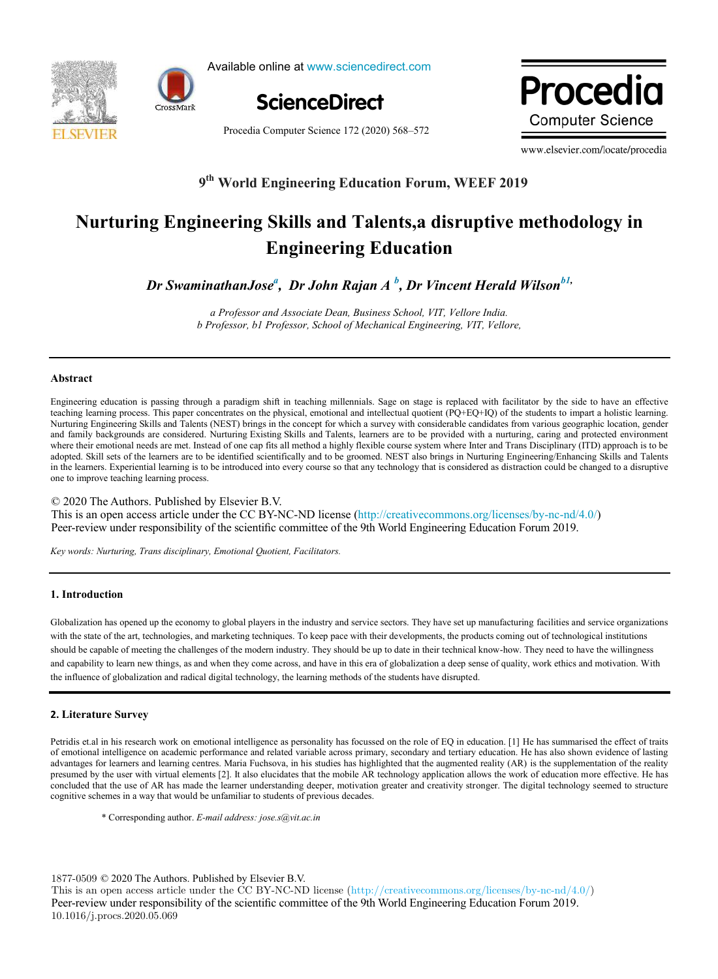



Available online at www.sciencedirect.com



Procedia **Computer Science** 

Procedia Computer Science 172 (2020) 568–572

www.elsevier.com/locate/procedia

# **9 th World Engineering Education Forum, WEEF 2019**

# **Nurturing Engineering Skills and Talents,a disruptive methodology in Engineering Education**

*Dr SwaminathanJose<sup>a</sup> , Dr John Rajan A <sup>b</sup> , Dr Vincent Herald Wilsonb1,*

*a Professor and Associate Dean, Business School, VIT, Vellore India. b Professor, b1 Professor, School of Mechanical Engineering, VIT, Vellore,* 

# **Abstract**

Engineering education is passing through a paradigm shift in teaching millennials. Sage on stage is replaced with facilitator by the side to have an effective teaching learning process. This paper concentrates on the physical, emotional and intellectual quotient (PQ+EQ+IQ) of the students to impart a holistic learning. Nurturing Engineering Skills and Talents (NEST) brings in the concept for which a survey with considerable candidates from various geographic location, gender and family backgrounds are considered. Nurturing Existing Skills and Talents, learners are to be provided with a nurturing, caring and protected environment where their emotional needs are met. Instead of one cap fits all method a highly flexible course system where Inter and Trans Disciplinary (ITD) approach is to be adopted. Skill sets of the learners are to be identified scientifically and to be groomed. NEST also brings in Nurturing Engineering/Enhancing Skills and Talents in the learners. Experiential learning is to be introduced into every course so that any technology that is considered as distraction could be changed to a disruptive one to improve teaching learning process.

© 2020 The Authors. Published by Elsevier B.V. This is an open access article under the CC BY-NC-ND license (http://creativecommons.org/licenses/by-nc-nd/4.0/) Peer-review under responsibility of the scientific committee of the 9th World Engineering Education Forum 2019.

*Key words: Nurturing, Trans disciplinary, Emotional Quotient, Facilitators.*

# **1. Introduction**

Globalization has opened up the economy to global players in the industry and service sectors. They have set up manufacturing facilities and service organizations with the state of the art, technologies, and marketing techniques. To keep pace with their developments, the products coming out of technological institutions should be capable of meeting the challenges of the modern industry. They should be up to date in their technical know-how. They need to have the willingness and capability to learn new things, as and when they come across, and have in this era of globalization a deep sense of quality, work ethics and motivation. With **2.** the influence of globalization and radical digital technology, the learning methods of the students have disrupted.

# **2. Literature Survey**

Petridis et.al in his research work on emotional intelligence as personality has focussed on the role of EQ in education. [1] He has summarised the effect of traits of emotional intelligence on academic performance and related variable across primary, secondary and tertiary education. He has also shown evidence of lasting advantages for learners and learning centres. Maria Fuchsova, in his studies has highlighted that the augmented reality (AR) is the supplementation of the reality presumed by the user with virtual elements [2]. It also elucidates that the mobile AR technology application allows the work of education more effective. He has concluded that the use of AR has made the learner understanding deeper, motivation greater and creativity stronger. The digital technology seemed to structure cognitive schemes in a way that would be unfamiliar to students of previous decades.

\* Corresponding author. *E-mail address: jose.s@vit.ac.in*

1877-0509 © 2020 The Authors. Published by Elsevier B.V.

This is an open access article under the CC BY-NC-ND license (http://creativecommons.org/licenses/by-nc-nd/4.0/) Peer-review under responsibility of the scientific committee of the 9th World Engineering Education Forum 2019. 10.1016/j.procs.2020.05.069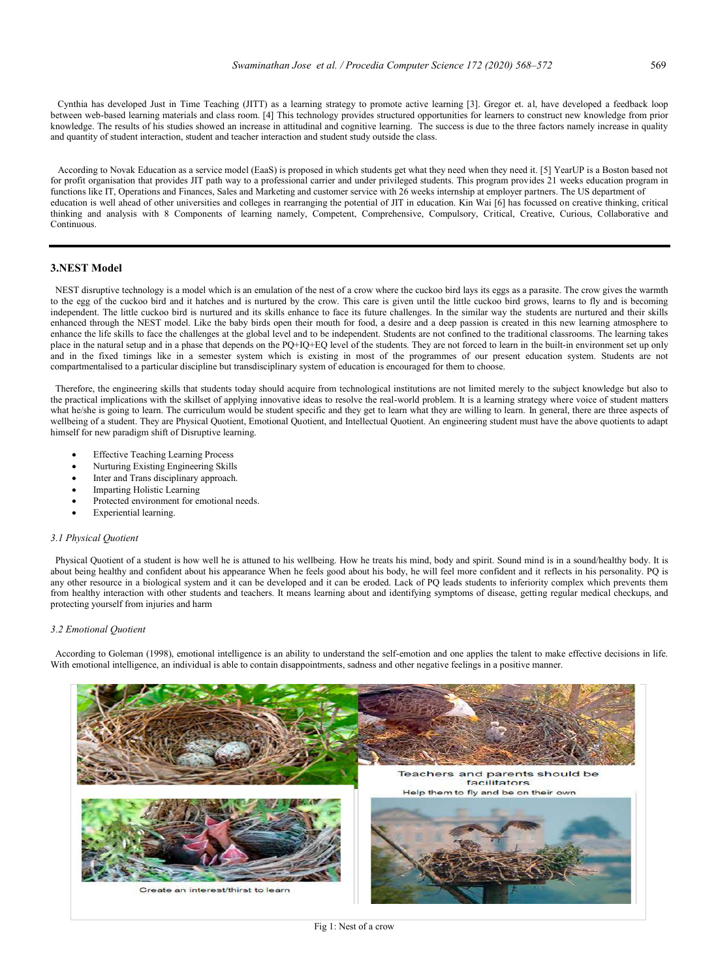Cynthia has developed Just in Time Teaching (JITT) as a learning strategy to promote active learning [3]. Gregor et. al, have developed a feedback loop between web-based learning materials and class room. [4] This technology provides structured opportunities for learners to construct new knowledge from prior knowledge. The results of his studies showed an increase in attitudinal and cognitive learning. The success is due to the three factors namely increase in quality and quantity of student interaction, student and teacher interaction and student study outside the class.

 According to Novak Education as a service model (EaaS) is proposed in which students get what they need when they need it. [5] YearUP is a Boston based not for profit organisation that provides JIT path way to a professional carrier and under privileged students. This program provides 21 weeks education program in functions like IT, Operations and Finances, Sales and Marketing and customer service with 26 weeks internship at employer partners. The US department of education is well ahead of other universities and colleges in rearranging the potential of JIT in education. Kin Wai [6] has focussed on creative thinking, critical thinking and analysis with 8 Components of learning namely, Competent, Comprehensive, Compulsory, Critical, Creative, Curious, Collaborative and Continuous.

# **3.NEST Model**

 NEST disruptive technology is a model which is an emulation of the nest of a crow where the cuckoo bird lays its eggs as a parasite. The crow gives the warmth to the egg of the cuckoo bird and it hatches and is nurtured by the crow. This care is given until the little cuckoo bird grows, learns to fly and is becoming independent. The little cuckoo bird is nurtured and its skills enhance to face its future challenges. In the similar way the students are nurtured and their skills enhanced through the NEST model. Like the baby birds open their mouth for food, a desire and a deep passion is created in this new learning atmosphere to enhance the life skills to face the challenges at the global level and to be independent. Students are not confined to the traditional classrooms. The learning takes place in the natural setup and in a phase that depends on the PQ+IQ+EQ level of the students. They are not forced to learn in the built-in environment set up only and in the fixed timings like in a semester system which is existing in most of the programmes of our present education system. Students are not compartmentalised to a particular discipline but transdisciplinary system of education is encouraged for them to choose.

 Therefore, the engineering skills that students today should acquire from technological institutions are not limited merely to the subject knowledge but also to the practical implications with the skillset of applying innovative ideas to resolve the real-world problem. It is a learning strategy where voice of student matters what he/she is going to learn. The curriculum would be student specific and they get to learn what they are willing to learn. In general, there are three aspects of wellbeing of a student. They are Physical Quotient, Emotional Quotient, and Intellectual Quotient. An engineering student must have the above quotients to adapt himself for new paradigm shift of Disruptive learning.

- Effective Teaching Learning Process
- Nurturing Existing Engineering Skills
- Inter and Trans disciplinary approach.
- Imparting Holistic Learning
- Protected environment for emotional needs.
- Experiential learning.

#### *3.1 Physical Quotient*

 Physical Quotient of a student is how well he is attuned to his wellbeing. How he treats his mind, body and spirit. Sound mind is in a sound/healthy body. It is about being healthy and confident about his appearance When he feels good about his body, he will feel more confident and it reflects in his personality. PQ is any other resource in a biological system and it can be developed and it can be eroded. Lack of PQ leads students to inferiority complex which prevents them from healthy interaction with other students and teachers. It means learning about and identifying symptoms of disease, getting regular medical checkups, and protecting yourself from injuries and harm

#### *3.2 Emotional Quotient*

 According to Goleman (1998), emotional intelligence is an ability to understand the self-emotion and one applies the talent to make effective decisions in life. With emotional intelligence, an individual is able to contain disappointments, sadness and other negative feelings in a positive manner.

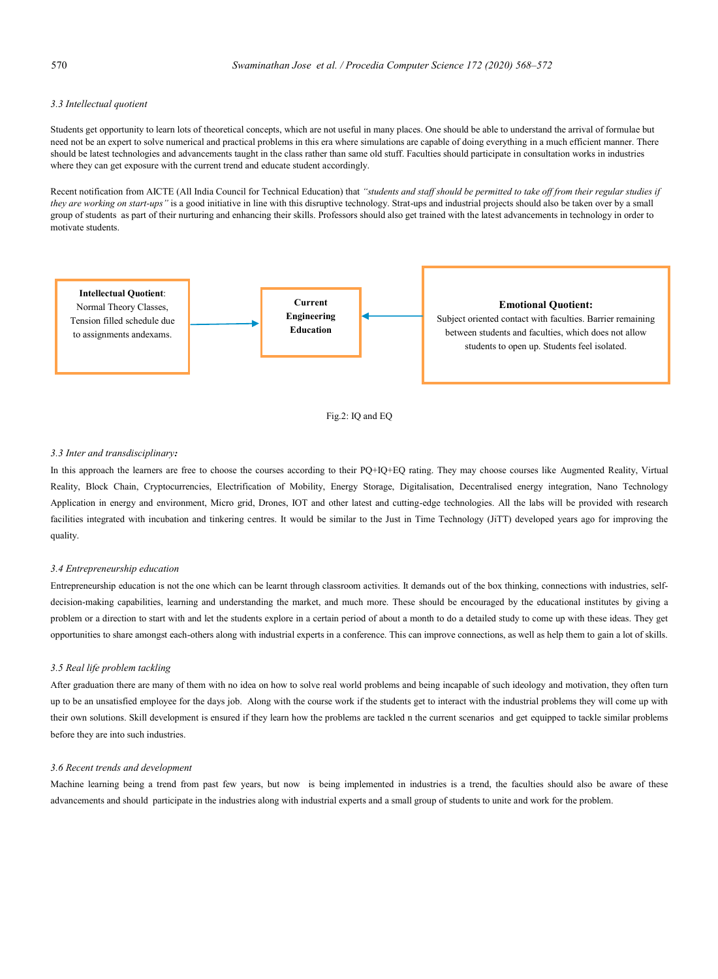### *3.3 Intellectual quotient*

Students get opportunity to learn lots of theoretical concepts, which are not useful in many places. One should be able to understand the arrival of formulae but need not be an expert to solve numerical and practical problems in this era where simulations are capable of doing everything in a much efficient manner. There should be latest technologies and advancements taught in the class rather than same old stuff. Faculties should participate in consultation works in industries where they can get exposure with the current trend and educate student accordingly.

Recent notification from AICTE (All India Council for Technical Education) that *"students and staff should be permitted to take off from their regular studies if they are working on start-ups"* is a good initiative in line with this disruptive technology. Strat-ups and industrial projects should also be taken over by a small group of students as part of their nurturing and enhancing their skills. Professors should also get trained with the latest advancements in technology in order to motivate students.





#### *3.3 Inter and transdisciplinary:*

In this approach the learners are free to choose the courses according to their PQ+IQ+EQ rating. They may choose courses like Augmented Reality, Virtual Reality, Block Chain, Cryptocurrencies, Electrification of Mobility, Energy Storage, Digitalisation, Decentralised energy integration, Nano Technology Application in energy and environment, Micro grid, Drones, IOT and other latest and cutting-edge technologies. All the labs will be provided with research facilities integrated with incubation and tinkering centres. It would be similar to the Just in Time Technology (JiTT) developed years ago for improving the quality.

#### *3.4 Entrepreneurship education*

Entrepreneurship education is not the one which can be learnt through classroom activities. It demands out of the box thinking, connections with industries, selfdecision-making capabilities, learning and understanding the market, and much more. These should be encouraged by the educational institutes by giving a problem or a direction to start with and let the students explore in a certain period of about a month to do a detailed study to come up with these ideas. They get opportunities to share amongst each-others along with industrial experts in a conference. This can improve connections, as well as help them to gain a lot of skills.

#### *3.5 Real life problem tackling*

After graduation there are many of them with no idea on how to solve real world problems and being incapable of such ideology and motivation, they often turn up to be an unsatisfied employee for the days job. Along with the course work if the students get to interact with the industrial problems they will come up with their own solutions. Skill development is ensured if they learn how the problems are tackled n the current scenarios and get equipped to tackle similar problems before they are into such industries.

# *3.6 Recent trends and development*

Machine learning being a trend from past few years, but now is being implemented in industries is a trend, the faculties should also be aware of these advancements and should participate in the industries along with industrial experts and a small group of students to unite and work for the problem.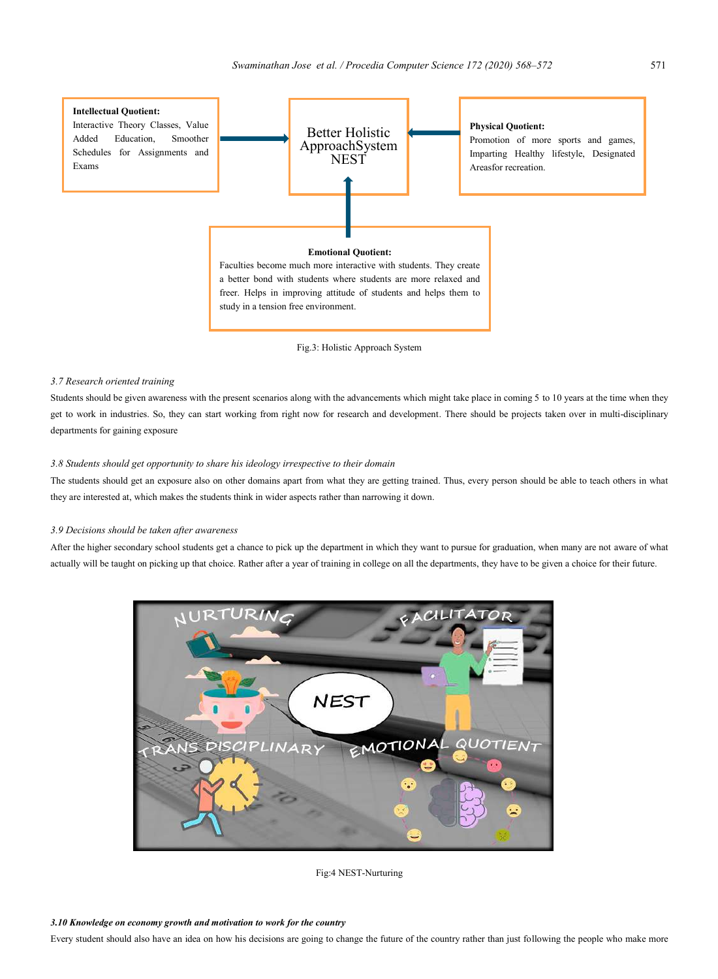

Fig.3: Holistic Approach System

# *3.7 Research oriented training*

Students should be given awareness with the present scenarios along with the advancements which might take place in coming 5 to 10 years at the time when they get to work in industries. So, they can start working from right now for research and development. There should be projects taken over in multi-disciplinary departments for gaining exposure

# *3.8 Students should get opportunity to share his ideology irrespective to their domain*

The students should get an exposure also on other domains apart from what they are getting trained. Thus, every person should be able to teach others in what they are interested at, which makes the students think in wider aspects rather than narrowing it down.

# *3.9 Decisions should be taken after awareness*

After the higher secondary school students get a chance to pick up the department in which they want to pursue for graduation, when many are not aware of what actually will be taught on picking up that choice. Rather after a year of training in college on all the departments, they have to be given a choice for their future.



### Fig:4 NEST-Nurturing

Every student should also have an idea on how his decisions are going to change the future of the country rather than just following the people who make more